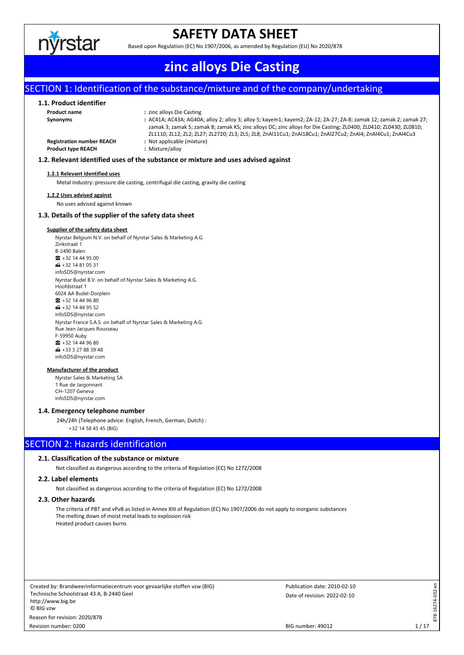

# **SAFETY DATA SHEET**

Based upon Regulation (EC) No 1907/2006, as amended by Regulation (EU) No 2020/878

# **zinc alloys Die Casting**

# SECTION 1: Identification of the substance/mixture and of the company/undertaking

#### **1.1. Product identifier**

| Product name                     | : zinc alloys Die Casting                                                                                          |
|----------------------------------|--------------------------------------------------------------------------------------------------------------------|
| Synonyms                         | : AC41A; AC43A; AG40A; alloy 2; alloy 3; alloy 5; kayem1; kayem2; ZA-12; ZA-27; ZA-8; zamak 12; zamak 2; zamak 27; |
|                                  | zamak 3; zamak 5; zamak 8; zamak KS; zinc alloys DC; zinc alloys for Die Casting; ZL0400; ZL0410; ZL0430; ZL0810;  |
|                                  | ZL1110; ZL12; ZL2; ZL27; ZL2720; ZL3; ZL5; ZL8; ZnAl11Cu1; ZnAl18Cu1; ZnAl27Cu2; ZnAl4; ZnAl4Cu1; ZnAl4Cu3         |
| <b>Registration number REACH</b> | : Not applicable (mixture)                                                                                         |
| <b>Product type REACH</b>        | : Mixture/alloy                                                                                                    |
|                                  |                                                                                                                    |

#### **1.2. Relevant identified uses of the substance or mixture and uses advised against**

#### **1.2.1 Relevant identified uses**

Metal industry: pressure die casting, centrifugal die casting, gravity die casting

#### **1.2.2 Uses advised against**

No uses advised against known

#### **1.3. Details of the supplier of the safety data sheet**

#### **Supplier of the safety data sheet**

Nyrstar Belgium N.V. on behalf of Nyrstar Sales & Marketing A.G. Zinkstraat 1 B-2490 Balen  $\bullet$  +32 14 44 95 00  $\bigoplus$  +32 14 81 05 31 infoSDS@nyrstar.com Nyrstar Budel B.V. on behalf of Nyrstar Sales & Marketing A.G. Hoofdstraat 1 6024 AA Budel-Dorplein  $\bullet$  +32 14 44 96 80  $\blacksquare$  +32 14 44 95 52 infoSDS@nyrstar.com Nyrstar France S.A.S. on behalf of Nyrstar Sales & Marketing A.G. Rue Jean Jacques Rousseau F-59950 Auby ☎ +32 14 44 96 80  $\bigoplus$  +33 3 27 88 39 48 infoSDS@nyrstar.com

#### **Manufacturer of the product**

Nyrstar Sales & Marketing SA 1 Rue de Jargonnant CH-1207 Geneva infoSDS@nyrstar.com

#### **1.4. Emergency telephone number**

24h/24h (Telephone advice: English, French, German, Dutch) :

+32 14 58 45 45 (BIG)

### SECTION 2: Hazards identification

### **2.1. Classification of the substance or mixture**

Not classified as dangerous according to the criteria of Regulation (EC) No 1272/2008

#### **2.2. Label elements**

Not classified as dangerous according to the criteria of Regulation (EC) No 1272/2008

### **2.3. Other hazards**

The criteria of PBT and vPvB as listed in Annex XIII of Regulation (EC) No 1907/2006 do not apply to inorganic substances The melting down of moist metal leads to explosion risk Heated product causes burns

Created by: Brandweerinformatiecentrum voor gevaarlijke stoffen vzw (BIG) Technische Schoolstraat 43 A, B-2440 Geel http://www.big.be © BIG vzw Revision number: 0200 Reason for revision: 2020/878

Date of revision: 2022-02-10 Publication date: 2010-02-10 878-16274-032-en

878-16274-032-en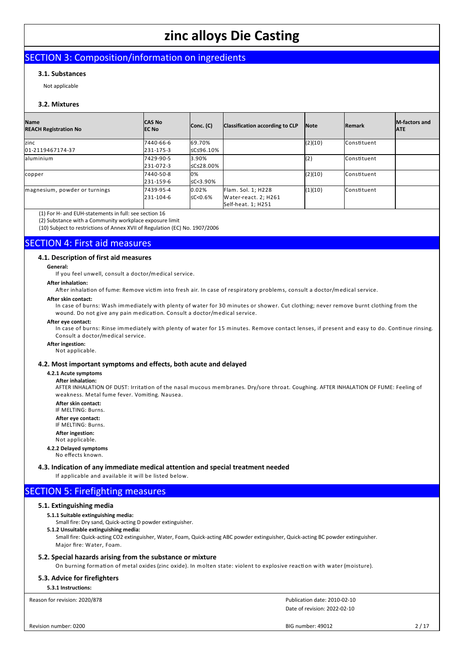# SECTION 3: Composition/information on ingredients

#### **3.1. Substances**

Not applicable

#### **3.2. Mixtures**

| <b>Name</b><br><b>REACH Registration No</b> | <b>CAS No</b><br><b>IEC No</b> | Conc. (C)         | Classification according to CLP | <b>Note</b> | <b>IRemark</b> | <b>IM-factors and</b><br><b>ATE</b> |
|---------------------------------------------|--------------------------------|-------------------|---------------------------------|-------------|----------------|-------------------------------------|
| zinc                                        | 7440-66-6                      | 69.70%            |                                 | (2)(10)     | lConstituent   |                                     |
| 01-2119467174-37                            | 231-175-3                      | 5C≤96.10%         |                                 |             |                |                                     |
| aluminium                                   | 7429-90-5                      | 3.90%             |                                 | (2)         | Constituent    |                                     |
|                                             | 231-072-3                      | I≤C≤28.00%        |                                 |             |                |                                     |
| copper                                      | 7440-50-8                      | 10%               |                                 | (2)(10)     | lConstituent   |                                     |
|                                             | 231-159-6                      | $\leq C < 3.90\%$ |                                 |             |                |                                     |
| magnesium, powder or turnings               | 7439-95-4                      | 0.02%             | Flam. Sol. 1; H228              | (1)(10)     | lConstituent   |                                     |
|                                             | 231-104-6                      | $\leq$ C<0.6%     | Water-react. 2; H261            |             |                |                                     |
|                                             |                                |                   | Self-heat. 1; H251              |             |                |                                     |

(1) For H- and EUH-statements in full: see section 16

(2) Substance with a Community workplace exposure limit

(10) Subject to restrictions of Annex XVII of Regulation (EC) No. 1907/2006

### SECTION 4: First aid measures

#### **4.1. Description of first aid measures**

**General:**

If you feel unwell, consult a doctor/medical service.

**After inhalation:**

After inhalation of fume: Remove victim into fresh air. In case of respiratory problems, consult a doctor/medical service.

#### **After skin contact:**

In case of burns: Wash immediately with plenty of water for 30 minutes or shower. Cut clothing; never remove burnt clothing from the wound. Do not give any pain medication. Consult a doctor/medical service.

## **After eye contact:**

In case of burns: Rinse immediately with plenty of water for 15 minutes. Remove contact lenses, if present and easy to do. Continue rinsing. Consult a doctor/medical service.

### **After ingestion:**

Not applicable.

#### **4.2. Most important symptoms and effects, both acute and delayed**

#### **4.2.1 Acute symptoms**

**After inhalation:**

AFTER INHALATION OF DUST: Irritation of the nasal mucous membranes. Dry/sore throat. Coughing. AFTER INHALATION OF FUME: Feeling of weakness. Metal fume fever. Vomiting. Nausea.

**After skin contact:** IF MELTING: Burns.

**After eye contact:**

IF MELTING: Burns.

**After ingestion:**

### Not applicable.

**4.2.2 Delayed symptoms** No effects known.

**4.3. Indication of any immediate medical attention and special treatment needed**

If applicable and available it will be listed below.

## SECTION 5: Firefighting measures

### **5.1. Extinguishing media**

**5.1.1 Suitable extinguishing media:**

Small fire: Dry sand, Quick-acting D powder extinguisher.

**5.1.2 Unsuitable extinguishing media:**

Small fire: Quick-acting CO2 extinguisher, Water, Foam, Quick-acting ABC powder extinguisher, Quick-acting BC powder extinguisher. Major fire: Water, Foam.

#### **5.2. Special hazards arising from the substance or mixture**

On burning formation of metal oxides (zinc oxide). In molten state: violent to explosive reaction with water (moisture).

#### **5.3. Advice for firefighters**

**5.3.1 Instructions:**

Reason for revision: 2020/878

Date of revision: 2022-02-10 Publication date: 2010-02-10

BIG number: 49012 2/17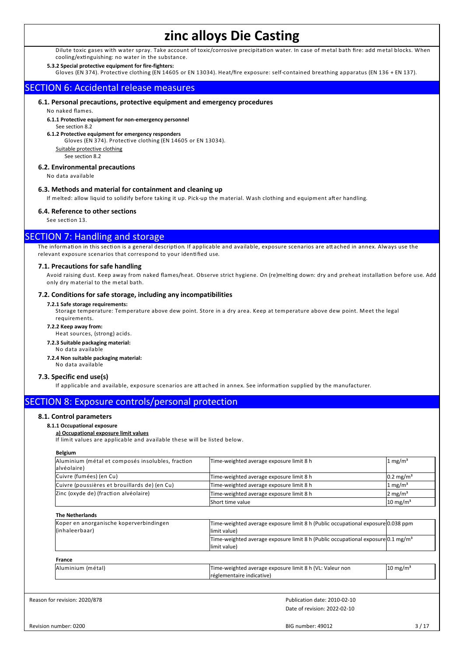Dilute toxic gases with water spray. Take account of toxic/corrosive precipitation water. In case of metal bath fire: add metal blocks. When cooling/extinguishing: no water in the substance.

#### **5.3.2 Special protective equipment for fire-fighters:**

Gloves (EN 374). Protective clothing (EN 14605 or EN 13034). Heat/fire exposure: self-contained breathing apparatus (EN 136 + EN 137).

### SECTION 6: Accidental release measures

#### **6.1. Personal precautions, protective equipment and emergency procedures**

No naked flames.

#### **6.1.1 Protective equipment for non-emergency personnel**

See section 8.2 **6.1.2 Protective equipment for emergency responders**

Gloves (EN 374). Protective clothing (EN 14605 or EN 13034).

Suitable protective clothing

See section 8.2

#### **6.2. Environmental precautions**

No data available

#### **6.3. Methods and material for containment and cleaning up**

If melted: allow liquid to solidify before taking it up. Pick-up the material. Wash clothing and equipment after handling.

### **6.4. Reference to other sections**

See section 13.

### SECTION 7: Handling and storage

The information in this section is a general description. If applicable and available, exposure scenarios are attached in annex. Always use the relevant exposure scenarios that correspond to your identified use.

#### **7.1. Precautions for safe handling**

Avoid raising dust. Keep away from naked flames/heat. Observe strict hygiene. On (re)melting down: dry and preheat installation before use. Add only dry material to the metal bath.

#### **7.2. Conditions for safe storage, including any incompatibilities**

#### **7.2.1 Safe storage requirements:**

Storage temperature: Temperature above dew point. Store in a dry area. Keep at temperature above dew point. Meet the legal requirements.

**7.2.2 Keep away from:**

Heat sources, (strong) acids.

- **7.2.3 Suitable packaging material:**
- No data available

**7.2.4 Non suitable packaging material:** No data available

## **7.3. Specific end use(s)**

If applicable and available, exposure scenarios are attached in annex. See information supplied by the manufacturer.

### SECTION 8: Exposure controls/personal protection

#### **8.1. Control parameters**

#### **8.1.1 Occupational exposure**

**a) Occupational exposure limit values**

If lim it values are applicable and available these will be listed below.

|--|

| Aluminium (métal et composés insolubles, fraction<br>alvéolaire)                    | Time-weighted average exposure limit 8 h                                                                       | $1 \text{ mg/m}^3$   |  |
|-------------------------------------------------------------------------------------|----------------------------------------------------------------------------------------------------------------|----------------------|--|
| Cuivre (fumées) (en Cu)                                                             | Time-weighted average exposure limit 8 h                                                                       | $0.2 \text{ mg/m}^3$ |  |
| Cuivre (poussières et brouillards de) (en Cu)                                       | Time-weighted average exposure limit 8 h                                                                       | $1 \text{ mg/m}^3$   |  |
| Zinc (oxyde de) (fraction alvéolaire)                                               | Time-weighted average exposure limit 8 h                                                                       | $2 \text{ mg/m}^3$   |  |
|                                                                                     | lShort time value                                                                                              | $10 \text{ mg/m}^3$  |  |
| <b>The Netherlands</b><br>Koper en anorganische koperverbindingen<br>(inhaleerbaar) | Time-weighted average exposure limit 8 h (Public occupational exposure 0.038 ppm<br>llimit value)              |                      |  |
|                                                                                     | Time-weighted average exposure limit 8 h (Public occupational exposure $[0.1 \text{ mg/m}^3]$<br>llimit value) |                      |  |
| France                                                                              |                                                                                                                |                      |  |
| Aluminium (métal)                                                                   | Time-weighted average exposure limit 8 h (VL: Valeur non<br>réglementaire indicative)                          | $10 \text{ mg/m}^3$  |  |

Reason for revision: 2020/878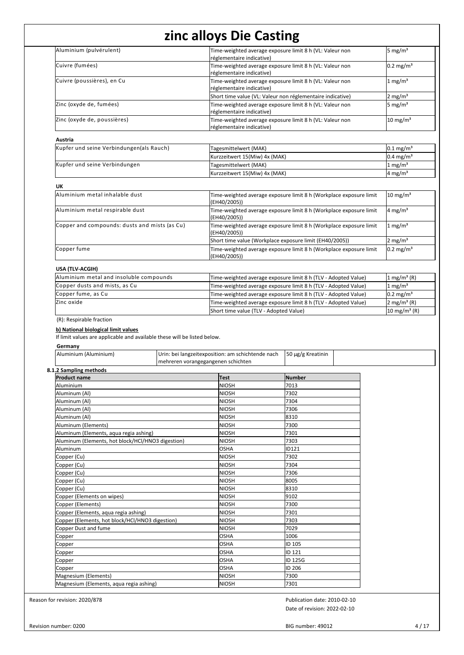| Aluminium (pulvérulent)                                                                                                                     | Time-weighted average exposure limit 8 h (VL: Valeur non                              |                                                                    | 5 mg/ $m3$                                          |  |
|---------------------------------------------------------------------------------------------------------------------------------------------|---------------------------------------------------------------------------------------|--------------------------------------------------------------------|-----------------------------------------------------|--|
| Cuivre (fumées)                                                                                                                             | réglementaire indicative)<br>Time-weighted average exposure limit 8 h (VL: Valeur non |                                                                    | $0.2$ mg/m <sup>3</sup>                             |  |
|                                                                                                                                             | réglementaire indicative)                                                             |                                                                    |                                                     |  |
| Cuivre (poussières), en Cu                                                                                                                  | Time-weighted average exposure limit 8 h (VL: Valeur non<br>réglementaire indicative) |                                                                    | $1 \text{ mg/m}^3$                                  |  |
|                                                                                                                                             | Short time value (VL: Valeur non réglementaire indicative)                            |                                                                    | 2 mg/m <sup>3</sup>                                 |  |
| Zinc (oxyde de, fumées)                                                                                                                     | Time-weighted average exposure limit 8 h (VL: Valeur non<br>réglementaire indicative) |                                                                    | 5 mg/m <sup>3</sup>                                 |  |
| Zinc (oxyde de, poussières)                                                                                                                 | Time-weighted average exposure limit 8 h (VL: Valeur non<br>réglementaire indicative) |                                                                    | $10 \text{ mg/m}^3$                                 |  |
| Austria                                                                                                                                     |                                                                                       |                                                                    |                                                     |  |
| Kupfer und seine Verbindungen(als Rauch)                                                                                                    | Tagesmittelwert (MAK)                                                                 |                                                                    | $0.1 \,\mathrm{mg/m^3}$                             |  |
|                                                                                                                                             | Kurzzeitwert 15(Miw) 4x (MAK)                                                         |                                                                    | $0.4 \text{ mg/m}^3$                                |  |
| Kupfer und seine Verbindungen                                                                                                               | Tagesmittelwert (MAK)                                                                 |                                                                    | 1 mg/m <sup>3</sup>                                 |  |
|                                                                                                                                             | Kurzzeitwert 15(Miw) 4x (MAK)                                                         |                                                                    | $4 \text{ mg/m}^3$                                  |  |
| UK<br>Aluminium metal inhalable dust                                                                                                        |                                                                                       | Time-weighted average exposure limit 8 h (Workplace exposure limit | $10 \text{ mg/m}^3$                                 |  |
| Aluminium metal respirable dust                                                                                                             | (EH40/2005))                                                                          | Time-weighted average exposure limit 8 h (Workplace exposure limit | $4 \text{ mg/m}^3$                                  |  |
| Copper and compounds: dusts and mists (as Cu)                                                                                               | (EH40/2005))                                                                          | Time-weighted average exposure limit 8 h (Workplace exposure limit | 1 mg/m <sup>3</sup>                                 |  |
|                                                                                                                                             | (EH40/2005))<br>Short time value (Workplace exposure limit (EH40/2005))               |                                                                    | 2 mg/m $3$                                          |  |
| Copper fume                                                                                                                                 |                                                                                       | Time-weighted average exposure limit 8 h (Workplace exposure limit | $0.2$ mg/m <sup>3</sup>                             |  |
|                                                                                                                                             | (EH40/2005))                                                                          |                                                                    |                                                     |  |
| USA (TLV-ACGIH)                                                                                                                             |                                                                                       |                                                                    |                                                     |  |
| Aluminium metal and insoluble compounds                                                                                                     |                                                                                       | Time-weighted average exposure limit 8 h (TLV - Adopted Value)     | 1 mg/m <sup>3</sup> (R)                             |  |
| Copper dusts and mists, as Cu                                                                                                               |                                                                                       | Time-weighted average exposure limit 8 h (TLV - Adopted Value)     | $1 \text{ mg/m}^3$                                  |  |
| Copper fume, as Cu                                                                                                                          |                                                                                       | Time-weighted average exposure limit 8 h (TLV - Adopted Value)     |                                                     |  |
| Zinc oxide                                                                                                                                  |                                                                                       |                                                                    |                                                     |  |
|                                                                                                                                             |                                                                                       | Time-weighted average exposure limit 8 h (TLV - Adopted Value)     |                                                     |  |
| (R): Respirable fraction<br>b) National biological limit values<br>If limit values are applicable and available these will be listed below. | Short time value (TLV - Adopted Value)                                                |                                                                    |                                                     |  |
| Germany<br>Aluminium (Aluminium)                                                                                                            | Urin: bei langzeitexposition: am schichtende nach                                     | 50 µg/g Kreatinin                                                  |                                                     |  |
| 8.1.2 Sampling methods                                                                                                                      | mehreren vorangegangenen schichten                                                    |                                                                    |                                                     |  |
| <b>Product name</b>                                                                                                                         | Test                                                                                  | <b>Number</b>                                                      |                                                     |  |
| Aluminium                                                                                                                                   | <b>NIOSH</b>                                                                          | 7013                                                               |                                                     |  |
| Aluminum (Al)                                                                                                                               | <b>NIOSH</b>                                                                          | 7302                                                               |                                                     |  |
| Aluminum (Al)                                                                                                                               | <b>NIOSH</b>                                                                          | 7304                                                               |                                                     |  |
| Aluminum (Al)                                                                                                                               | NIOSH                                                                                 | 7306                                                               |                                                     |  |
| Aluminum (Al)                                                                                                                               | <b>NIOSH</b>                                                                          | 8310                                                               |                                                     |  |
| Aluminum (Elements)                                                                                                                         | <b>NIOSH</b>                                                                          | 7300                                                               |                                                     |  |
| Aluminum (Elements, aqua regia ashing)<br>Aluminum (Elements, hot block/HCl/HNO3 digestion)                                                 | <b>NIOSH</b><br><b>NIOSH</b>                                                          | 7301<br>7303                                                       |                                                     |  |
| Aluminum                                                                                                                                    | <b>OSHA</b>                                                                           | ID121                                                              |                                                     |  |
| Copper (Cu)                                                                                                                                 | <b>NIOSH</b>                                                                          | 7302                                                               |                                                     |  |
| Copper (Cu)                                                                                                                                 | <b>NIOSH</b>                                                                          | 7304                                                               |                                                     |  |
| Copper (Cu)                                                                                                                                 | <b>NIOSH</b>                                                                          | 7306                                                               |                                                     |  |
| Copper (Cu)                                                                                                                                 | <b>NIOSH</b>                                                                          | 8005                                                               |                                                     |  |
| Copper (Cu)                                                                                                                                 | <b>NIOSH</b>                                                                          | 8310                                                               |                                                     |  |
| Copper (Elements on wipes)                                                                                                                  | <b>NIOSH</b>                                                                          | 9102                                                               |                                                     |  |
| Copper (Elements)                                                                                                                           | <b>NIOSH</b>                                                                          | 7300                                                               |                                                     |  |
| Copper (Elements, aqua regia ashing)                                                                                                        | <b>NIOSH</b>                                                                          | 7301                                                               |                                                     |  |
| Copper (Elements, hot block/HCl/HNO3 digestion)                                                                                             | <b>NIOSH</b>                                                                          | 7303                                                               |                                                     |  |
| Copper Dust and fume                                                                                                                        | <b>NIOSH</b>                                                                          | 7029                                                               |                                                     |  |
| Copper                                                                                                                                      | <b>OSHA</b>                                                                           | 1006                                                               |                                                     |  |
| Copper                                                                                                                                      | <b>OSHA</b>                                                                           | ID 105                                                             |                                                     |  |
| Copper                                                                                                                                      | <b>OSHA</b>                                                                           | ID 121                                                             |                                                     |  |
| Copper                                                                                                                                      | <b>OSHA</b>                                                                           | ID 125G                                                            |                                                     |  |
| Copper<br>Magnesium (Elements)                                                                                                              | OSHA<br><b>NIOSH</b>                                                                  | ID 206<br>7300                                                     | 2 mg/m <sup>3</sup> (R)<br>10 mg/m <sup>3</sup> (R) |  |

Date of revision: 2022-02-10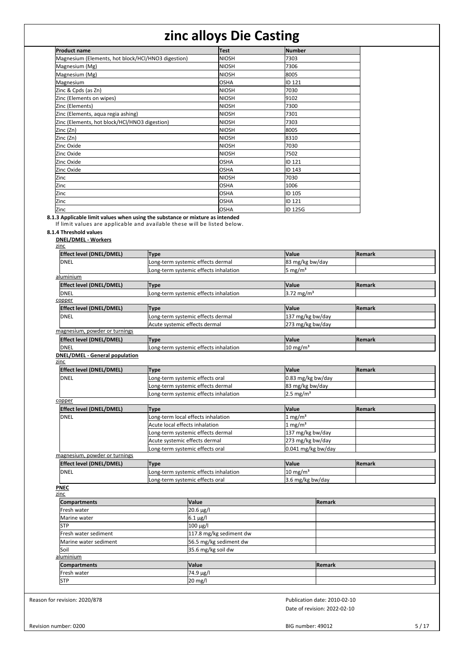| <b>Product name</b>                                | <b>Test</b>  | <b>Number</b>   |
|----------------------------------------------------|--------------|-----------------|
| Magnesium (Elements, hot block/HCl/HNO3 digestion) | <b>NIOSH</b> | 7303            |
| Magnesium (Mg)                                     | <b>NIOSH</b> | 7306            |
| Magnesium (Mg)                                     | <b>NIOSH</b> | 8005            |
| Magnesium                                          | <b>OSHA</b>  | IID 121         |
| Zinc & Cpds (as Zn)                                | <b>NIOSH</b> | 7030            |
| Zinc (Elements on wipes)                           | <b>NIOSH</b> | 9102            |
| Zinc (Elements)                                    | <b>NIOSH</b> | 7300            |
| Zinc (Elements, aqua regia ashing)                 | <b>NIOSH</b> | 7301            |
| Zinc (Elements, hot block/HCl/HNO3 digestion)      | <b>NIOSH</b> | 7303            |
| Zinc (Zn)                                          | <b>NIOSH</b> | 8005            |
| Zinc (Zn)                                          | <b>NIOSH</b> | 18310           |
| Zinc Oxide                                         | <b>NIOSH</b> | 7030            |
| Zinc Oxide                                         | <b>NIOSH</b> | 7502            |
| Zinc Oxide                                         | <b>OSHA</b>  | ID 121          |
| Zinc Oxide                                         | <b>OSHA</b>  | <b>I</b> ID 143 |
| Zinc                                               | <b>NIOSH</b> | 7030            |
| Zinc                                               | <b>OSHA</b>  | 1006            |
| Zinc                                               | <b>OSHA</b>  | ID 105          |
| Zinc                                               | <b>OSHA</b>  | ID 121          |
| Zinc                                               | <b>OSHA</b>  | ID 125G         |

**8.1.3 Applicable limit values when using the substance or mixture as intended**

If lim it values are applicable and available these will be listed below.

### **8.1.4 Threshold values**

**DNEL/DMEL - Workers** zinc

| Effect level (DNEL/DMEL)                      | <b>Type</b>                           | Value                  | Remark                       |
|-----------------------------------------------|---------------------------------------|------------------------|------------------------------|
| <b>DNEL</b>                                   | Long-term systemic effects dermal     | 83 mg/kg bw/day        |                              |
|                                               | Long-term systemic effects inhalation | 5 mg/ $m3$             |                              |
| aluminium                                     |                                       |                        |                              |
| Effect level (DNEL/DMEL)                      | <b>Type</b>                           | Value                  | Remark                       |
| DNEL                                          | Long-term systemic effects inhalation | 3.72 mg/ $m^3$         |                              |
| copper                                        |                                       |                        |                              |
| Effect level (DNEL/DMEL)                      | <b>Type</b>                           | Value                  | Remark                       |
| <b>I</b> DNEL                                 | Long-term systemic effects dermal     | 137 mg/kg bw/day       |                              |
|                                               | Acute systemic effects dermal         | 273 mg/kg bw/day       |                              |
| magnesium, powder or turnings                 |                                       |                        |                              |
| <b>Effect level (DNEL/DMEL)</b>               | <b>Type</b>                           | Value                  | Remark                       |
| <b>DNEL</b>                                   | Long-term systemic effects inhalation | $10$ mg/m <sup>3</sup> |                              |
| <b>DNEL/DMEL - General population</b><br>zinc |                                       |                        |                              |
| <b>Effect level (DNEL/DMEL)</b>               | <b>Type</b>                           | Value                  | Remark                       |
| <b>DNEL</b>                                   | Long-term systemic effects oral       | 0.83 mg/kg bw/day      |                              |
|                                               | ong-term systemic effects dermal      | 83 mg/kg bw/day        |                              |
|                                               | ong-term systemic effects inhalation  | 2.5 mg/ $m3$           |                              |
| copper                                        |                                       |                        |                              |
| <b>Effect level (DNEL/DMEL)</b>               | <b>Type</b>                           | Value                  | Remark                       |
| <b>DNEL</b>                                   | Long-term local effects inhalation    | $1 \text{ mg/m}^3$     |                              |
|                                               | Acute local effects inhalation        | 1 mg/m <sup>3</sup>    |                              |
|                                               | Long-term systemic effects dermal     | 137 mg/kg bw/day       |                              |
|                                               | Acute systemic effects dermal         | 273 mg/kg bw/day       |                              |
|                                               | Long-term systemic effects oral       |                        | 0.041 mg/kg bw/day           |
| magnesium, powder or turnings                 |                                       |                        |                              |
| <b>Effect level (DNEL/DMEL)</b>               | <b>Type</b>                           | Value                  | Remark                       |
| <b>DNEL</b>                                   | Long-term systemic effects inhalation | $10 \text{ mg/m}^3$    |                              |
|                                               | Long-term systemic effects oral       | 3.6 mg/kg bw/day       |                              |
| <b>PNEC</b><br>zinc                           |                                       |                        |                              |
| <b>Compartments</b>                           | Value                                 |                        | Remark                       |
| Fresh water                                   | 20.6 µg/l                             |                        |                              |
| Marine water                                  | $6.1 \mu g/l$                         |                        |                              |
| <b>STP</b>                                    | 100 µg/l                              |                        |                              |
| Fresh water sediment                          | 117.8 mg/kg sediment dw               |                        |                              |
| Marine water sediment                         | 56.5 mg/kg sediment dw                |                        |                              |
| Soil                                          | 35.6 mg/kg soil dw                    |                        |                              |
| aluminium                                     |                                       |                        |                              |
| <b>Compartments</b>                           | Value                                 |                        | Remark                       |
| Fresh water                                   | $\frac{1}{74.9}$ µg/l                 |                        |                              |
| <b>STP</b>                                    | 20 mg/l                               |                        |                              |
|                                               |                                       |                        |                              |
| for revision: 2020/878                        |                                       |                        | Publication date: 2010-02-10 |
|                                               |                                       |                        | Date of revision: 2022-02-10 |

Reason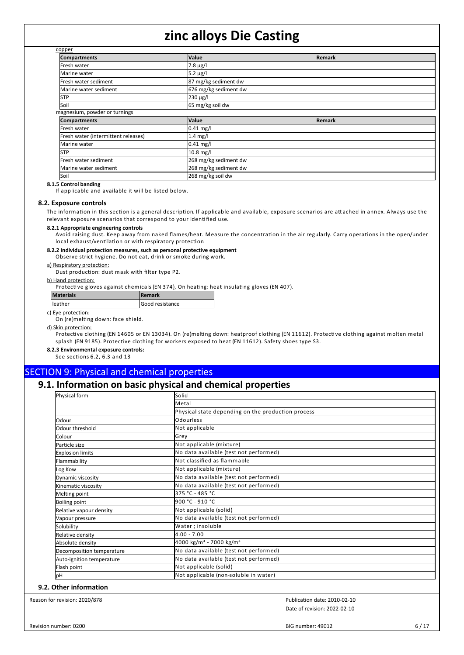| copper                              |                       |               |  |
|-------------------------------------|-----------------------|---------------|--|
| <b>Compartments</b>                 | <b>Value</b>          | <b>Remark</b> |  |
| Fresh water                         | $7.8 \,\mu g/l$       |               |  |
| Marine water                        | $5.2 \mu g/l$         |               |  |
| Fresh water sediment                | 87 mg/kg sediment dw  |               |  |
| Marine water sediment               | 676 mg/kg sediment dw |               |  |
| <b>STP</b>                          | $230 \mu g/l$         |               |  |
| Soil                                | 65 mg/kg soil dw      |               |  |
| magnesium, powder or turnings       |                       |               |  |
| <b>Compartments</b>                 | <b>Value</b>          | <b>Remark</b> |  |
| Fresh water                         | $0.41$ mg/l           |               |  |
| Fresh water (intermittent releases) | $1.4$ mg/l            |               |  |
| Marine water                        | $0.41$ mg/l           |               |  |
| <b>STP</b>                          | 10.8 mg/l             |               |  |
| Fresh water sediment                | 268 mg/kg sediment dw |               |  |
| Marine water sediment               | 268 mg/kg sediment dw |               |  |
| Soil                                | 268 mg/kg soil dw     |               |  |

#### **8.1.5 Control banding**

If applicable and available it will be listed below.

#### **8.2. Exposure controls**

The information in this section is a general description. If applicable and available, exposure scenarios are attached in annex. Always use the relevant exposure scenarios that correspond to your identified use.

#### **8.2.1 Appropriate engineering controls**

Avoid raising dust. Keep away from naked flames/heat. Measure the concentration in the air regularly. Carry operations in the open/under local exhaust/ventilation or with respiratory protection.

### **8.2.2 Individual protection measures, such as personal protective equipment**

Observe strict hygiene. Do not eat, drink or smoke during work.

a) Respiratory protection: Dust production: dust mask with filter type P2.

b) Hand protection:

man protective gloves against chemicals (EN 374), On heating: heat insulating gloves (EN 407).

| Materials | l Remark                 |
|-----------|--------------------------|
| leather   | <b>I</b> Good resistance |
|           |                          |

c) Eye protection:

On (re)melting down: face shield.

#### d) Skin protection:

Protective clothing (EN 14605 or EN 13034). On (re)melting down: heatproof clothing (EN 11612). Protective clothing against molten metal splash (EN 9185). Protective clothing for workers exposed to heat (EN 11612). Safety shoes type S3.

#### **8.2.3 Environmental exposure controls:**

See sections 6.2, 6.3 and 13

## SECTION 9: Physical and chemical properties

# **9.1. Information on basic physical and chemical properties**

| Physical form             | Solid                                              |  |  |  |  |
|---------------------------|----------------------------------------------------|--|--|--|--|
|                           | <b>Metal</b>                                       |  |  |  |  |
|                           | Physical state depending on the production process |  |  |  |  |
| Odour                     | <b>Odourless</b>                                   |  |  |  |  |
| Odour threshold           | Not applicable                                     |  |  |  |  |
| Colour                    | Grey                                               |  |  |  |  |
| Particle size             | Not applicable (mixture)                           |  |  |  |  |
| <b>Explosion limits</b>   | No data available (test not performed)             |  |  |  |  |
| Flammability              | Not classified as flammable                        |  |  |  |  |
| Log Kow                   | Not applicable (mixture)                           |  |  |  |  |
| Dynamic viscosity         | No data available (test not performed)             |  |  |  |  |
| Kinematic viscosity       | No data available (test not performed)             |  |  |  |  |
| Melting point             | 375 °C - 485 °C                                    |  |  |  |  |
| <b>Boiling point</b>      | l900 °C - 910 °C                                   |  |  |  |  |
| Relative vapour density   | Not applicable (solid)                             |  |  |  |  |
| Vapour pressure           | No data available (test not performed)             |  |  |  |  |
| Solubility                | Water; insoluble                                   |  |  |  |  |
| Relative density          | 4.00 - 7.00                                        |  |  |  |  |
| Absolute density          | 4000 kg/m <sup>3</sup> - 7000 kg/m <sup>3</sup>    |  |  |  |  |
| Decomposition temperature | No data available (test not performed)             |  |  |  |  |
| Auto-ignition temperature | No data available (test not performed)             |  |  |  |  |
| Flash point               | Not applicable (solid)                             |  |  |  |  |
| pH                        | Not applicable (non-soluble in water)              |  |  |  |  |

#### **9.2. Other information**

Reason for revision: 2020/878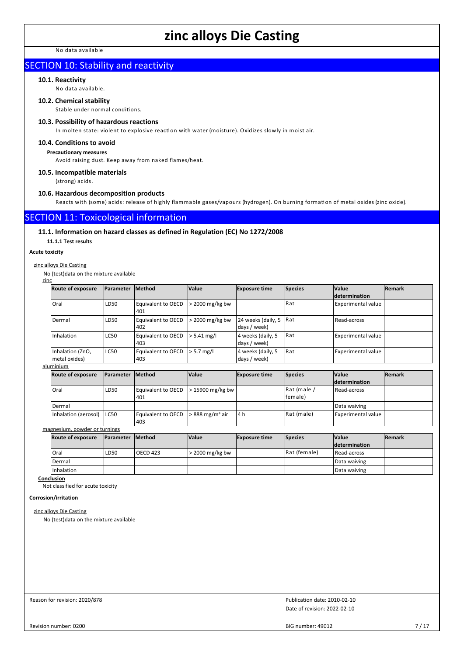No data available

# SECTION 10: Stability and reactivity

#### **10.1. Reactivity**

No data available.

#### **10.2. Chemical stability**

Stable under normal conditions.

#### **10.3. Possibility of hazardous reactions**

In molten state: violent to explosive reaction with water (moisture). Oxidizes slowly in moist air.

#### **10.4. Conditions to avoid**

**Precautionary measures**

Avoid raising dust. Keep away from naked flames/heat.

#### **10.5. Incompatible materials**

(strong) acids.

#### **10.6. Hazardous decomposition products**

Reacts with (some) acids: release of highly flammable gases/vapours (hydrogen). On burning formation of metal oxides (zinc oxide).

## SECTION 11: Toxicological information

#### **11.1. Information on hazard classes as defined in Regulation (EC) No 1272/2008**

**11.1.1 Test results**

### **Acute toxicity**

zinc

#### zinc alloys Die Casting

No (test)data on the mixture available

| <b>Route of exposure</b>          | <b>IParameter</b> | <b>Method</b>             | <b>Value</b>      | <b>Exposure time</b>               | Species      | <b>Value</b><br>determination | <b>Remark</b> |
|-----------------------------------|-------------------|---------------------------|-------------------|------------------------------------|--------------|-------------------------------|---------------|
| Oral                              | LD <sub>50</sub>  | Equivalent to OECD<br>401 | $>$ 2000 mg/kg bw |                                    | <b>IRat</b>  | <b>Experimental value</b>     |               |
| Dermal                            | LD <sub>50</sub>  | Equivalent to OECD<br>402 | > 2000 mg/kg bw   | 24 weeks (daily, 5<br>days / week) | <b>I</b> Rat | Read-across                   |               |
| Inhalation                        | LC50              | Equivalent to OECD<br>403 | $> 5.41$ mg/      | 4 weeks (daily, 5<br>days / week)  | <b>I</b> Rat | <b>Experimental value</b>     |               |
| Inhalation (ZnO,<br>metal oxides) | LC50              | Equivalent to OECD<br>403 | $> 5.7$ mg/l      | 4 weeks (daily, 5<br>days / week)  | Rat          | <b>Experimental value</b>     |               |
| aluminium                         |                   |                           |                   |                                    |              |                               |               |

| <b>Route of exposure</b>      | <b>IParameter</b> | Method                           | <b>Value</b>              | <b>Exposure time</b> | Species                 | <b>Value</b><br><b>determination</b> | <b>Remark</b> |
|-------------------------------|-------------------|----------------------------------|---------------------------|----------------------|-------------------------|--------------------------------------|---------------|
| <sup>1</sup> Oral             | LD50              | <b>Equivalent to OECD</b><br>401 | $>15900$ mg/kg bw         |                      | Rat (male /<br>lfemale) | Read-across                          |               |
| Dermal                        |                   |                                  |                           |                      |                         | Data waiving                         |               |
| Inhalation (aerosol)          | LC50              | <b>Equivalent to OECD</b><br>403 | 888 mg/m <sup>3</sup> air | 4 h                  | Rat (male)              | Experimental value                   |               |
| magnesium, powder or turnings |                   |                                  |                           |                      |                         |                                      |               |
| <b>Route of exposure</b>      | <b>IParameter</b> | Method                           | <b>Value</b>              | <b>Exposure time</b> | <b>Species</b>          | <b>Value</b><br><i>determination</i> | Remark        |
| Oral                          | LD50              | <b>OECD 423</b>                  | > 2000 mg/kg bw           |                      | Rat (female)            | Read-across                          |               |
| Dermal                        |                   |                                  |                           |                      |                         | Data waiving                         |               |
| Inhalation                    |                   |                                  |                           |                      |                         | Data waiving                         |               |

**Conclusion**

Not classified for acute toxicity

**Corrosion/irritation**

zinc alloys Die Casting

No (test)data on the mixture available

Reason for revision: 2020/878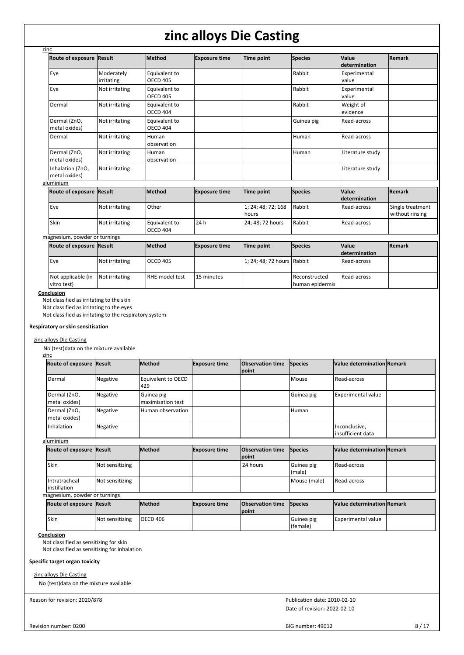| zinc                              |                          |                                  |                      |                             |                                  |                                      |                                     |
|-----------------------------------|--------------------------|----------------------------------|----------------------|-----------------------------|----------------------------------|--------------------------------------|-------------------------------------|
| <b>Route of exposure</b>          | Result                   | Method                           | <b>Exposure time</b> | Time point                  | <b>Species</b>                   | Value<br>ldetermination              | Remark                              |
| Eye                               | Moderately<br>irritating | Equivalent to<br><b>OECD 405</b> |                      |                             | Rabbit                           | Experimental<br>value                |                                     |
| Eye                               | Not irritating           | Equivalent to<br><b>OECD 405</b> |                      |                             | Rabbit                           | Experimental<br>value                |                                     |
| Dermal                            | Not irritating           | Equivalent to<br><b>OECD 404</b> |                      |                             | Rabbit                           | Weight of<br>evidence                |                                     |
| Dermal (ZnO,<br>metal oxides)     | Not irritating           | Equivalent to<br><b>OECD 404</b> |                      |                             | Guinea pig                       | Read-across                          |                                     |
| Dermal                            | Not irritating           | Human<br>observation             |                      |                             | Human                            | Read-across                          |                                     |
| Dermal (ZnO,<br>metal oxides)     | Not irritating           | Human<br>observation             |                      |                             | Human                            | Literature study                     |                                     |
| Inhalation (ZnO,<br>metal oxides) | Not irritating           |                                  |                      |                             |                                  | Literature study                     |                                     |
| aluminium                         |                          |                                  |                      |                             |                                  |                                      |                                     |
| <b>Route of exposure</b>          | Result                   | Method                           | <b>Exposure time</b> | Time point                  | <b>Species</b>                   | <b>Value</b><br><b>determination</b> | Remark                              |
| Eye                               | Not irritating           | Other                            |                      | 1; 24; 48; 72; 168<br>hours | Rabbit                           | Read-across                          | Single treatment<br>without rinsing |
| Skin                              | Not irritating           | Equivalent to<br><b>OECD 404</b> | 24 h                 | 24; 48; 72 hours            | Rabbit                           | Read-across                          |                                     |
| magnesium, powder or turnings     |                          |                                  |                      |                             |                                  |                                      |                                     |
| <b>Route of exposure Result</b>   |                          | Method                           | <b>Exposure time</b> | Time point                  | <b>Species</b>                   | <b>Value</b><br>ldetermination       | Remark                              |
| Eye                               | Not irritating           | <b>OECD 405</b>                  |                      | 1; 24; 48; 72 hours Rabbit  |                                  | Read-across                          |                                     |
| Not applicable (in<br>vitro test) | Not irritating           | RHE-model test                   | 15 minutes           |                             | Reconstructed<br>human epidermis | Read-across                          |                                     |

**Conclusion**

Not classified as irritating to the skin

Not classified as irritating to the eyes

Not classified as irritating to the respiratory system

#### **Respiratory or skin sensitisation**

#### zinc alloys Die Casting

No (test)data on the mixture available zinc

| Route of exposure Result      |          | <b>Method</b>                   | <b>Exposure time</b> | <b>Observation time</b><br>point | Species        | Value determination Remark          |  |
|-------------------------------|----------|---------------------------------|----------------------|----------------------------------|----------------|-------------------------------------|--|
| Dermal                        | Negative | Equivalent to OECD<br>429       |                      |                                  | <b>I</b> Mouse | Read-across                         |  |
| Dermal (ZnO,<br>metal oxides) | Negative | Guinea pig<br>maximisation test |                      |                                  | Guinea pig     | <b>Experimental value</b>           |  |
| Dermal (ZnO,<br>metal oxides) | Negative | Human observation               |                      |                                  | Human          |                                     |  |
| Inhalation                    | Negative |                                 |                      |                                  |                | Inconclusive,<br>linsufficient data |  |

#### aluminium

| Route of exposure Result                |                 | lMethod | <b>Exposure time</b> | <b>Observation time</b> Species<br><b>point</b> |                      | Value determination Remark |  |
|-----------------------------------------|-----------------|---------|----------------------|-------------------------------------------------|----------------------|----------------------------|--|
| Skin                                    | Not sensitizing |         |                      | 24 hours                                        | Guinea pig<br>(male) | Read-across                |  |
| l Intratracheal<br><b>linstillation</b> | Not sensitizing |         |                      |                                                 | Mouse (male)         | Read-across                |  |
| magnesium, powder or turnings           |                 |         |                      |                                                 |                      |                            |  |
|                                         |                 |         |                      |                                                 |                      |                            |  |

| <b>Route of exposure Result</b> |                 | <b>Method</b>   | <b>Exposure time</b> | <b>Observation time Species</b><br><b>lpoint</b> |                        | Value determination Remark |  |
|---------------------------------|-----------------|-----------------|----------------------|--------------------------------------------------|------------------------|----------------------------|--|
| Skin                            | Not sensitizing | <b>OECD 406</b> |                      |                                                  | Guinea pig<br>(female) | Experimental value         |  |

**Conclusion**

Not classified as sensitizing for skin

Not classified as sensitizing for inhalation

#### **Specific target organ toxicity**

zinc alloys Die Casting

No (test)data on the mixture available

Reason for revision: 2020/878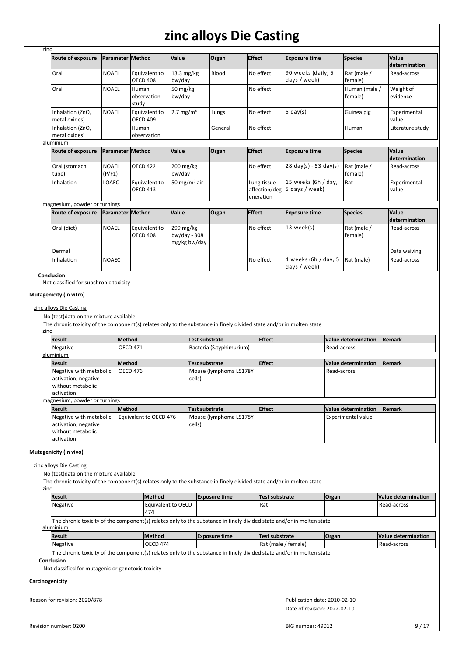| <b>Route of exposure</b>          | <b>Parameter Method</b> |                                  | <b>Value</b>                              | Organ   | <b>Effect</b>                             | <b>Exposure time</b>                    | <b>Species</b>           | Value<br>determination  |
|-----------------------------------|-------------------------|----------------------------------|-------------------------------------------|---------|-------------------------------------------|-----------------------------------------|--------------------------|-------------------------|
| Oral                              | <b>NOAEL</b>            | Equivalent to<br><b>OECD 408</b> | $13.3 \text{ mg/kg}$<br>bw/day            | Blood   | No effect                                 | 90 weeks (daily, 5<br>days / week)      | Rat (male /<br>female)   | Read-across             |
| Oral                              | <b>NOAEL</b>            | Human<br>observation<br>study    | 50 mg/kg<br>bw/day                        |         | No effect                                 |                                         | Human (male /<br>female) | Weight of<br>evidence   |
| Inhalation (ZnO,<br>metal oxides) | <b>NOAEL</b>            | Equivalent to<br><b>OECD 409</b> | 2.7 mg/ $m3$                              | Lungs   | No effect                                 | $5 \text{ day}(s)$                      | Guinea pig               | Experimental<br>value   |
| Inhalation (ZnO,<br>metal oxides) |                         | Human<br>observation             |                                           | General | No effect                                 |                                         | Human                    | Literature study        |
| aluminium                         |                         |                                  |                                           |         |                                           |                                         |                          |                         |
| <b>Route of exposure</b>          | Parameter Method        |                                  | <b>Value</b>                              | Organ   | <b>Effect</b>                             | <b>Exposure time</b>                    | <b>Species</b>           | Value<br>determination  |
| Oral (stomach<br>tube)            | <b>NOAEL</b><br>(P/F1)  | <b>OECD 422</b>                  | 200 mg/kg<br>bw/day                       |         | No effect                                 | $28 \text{ day(s)} - 53 \text{ day(s)}$ | Rat (male /<br>female)   | Read-across             |
| Inhalation                        | <b>LOAEC</b>            | Equivalent to<br><b>OECD 413</b> | 50 mg/m <sup>3</sup> air                  |         | Lung tissue<br>affection/deg<br>eneration | 15 weeks (6h / day,<br>5 days / week)   | Rat                      | Experimental<br>value   |
| magnesium, powder or turnings     |                         |                                  |                                           |         |                                           |                                         |                          |                         |
| <b>Route of exposure</b>          | <b>Parameter Method</b> |                                  | <b>Value</b>                              | Organ   | <b>Effect</b>                             | <b>Exposure time</b>                    | <b>Species</b>           | Value<br>ldetermination |
| Oral (diet)                       | <b>NOAEL</b>            | Equivalent to<br><b>OECD 408</b> | 299 mg/kg<br>bw/day - 308<br>mg/kg bw/day |         | No effect                                 | $13$ week(s)                            | Rat (male /<br>female)   | Read-across             |
| Dermal                            |                         |                                  |                                           |         |                                           |                                         |                          | Data waiving            |
| Inhalation                        | <b>NOAEC</b>            |                                  |                                           |         | No effect                                 | 4 weeks (6h / day, 5<br>days / week)    | Rat (male)               | Read-across             |

#### **Conclusion**

Not classified for subchronic toxicity

#### **Mutagenicity (in vitro)**

#### zinc alloys Die Casting

No (test)data on the mixture available

The chronic toxicity of the component(s) relates only to the substance in finely divided state and/or in molten state

#### zinc

| <b>Result</b>                 | <b>Method</b>          | <b>Test substrate</b>    | <b>Effect</b> | Value determination       | Remark        |
|-------------------------------|------------------------|--------------------------|---------------|---------------------------|---------------|
| Negative                      | <b>OECD 471</b>        | Bacteria (S.typhimurium) |               | Read-across               |               |
| aluminium                     |                        |                          |               |                           |               |
| <b>Result</b>                 | <b>Method</b>          | Test substrate           | <b>Effect</b> | Value determination       | <b>Remark</b> |
| Negative with metabolic       | OECD 476               | Mouse (lymphoma L5178Y   |               | Read-across               |               |
| activation, negative          |                        | cells)                   |               |                           |               |
| without metabolic             |                        |                          |               |                           |               |
| activation                    |                        |                          |               |                           |               |
| magnesium, powder or turnings |                        |                          |               |                           |               |
| <b>Result</b>                 | <b>Method</b>          | <b>Test substrate</b>    | <b>Effect</b> | Value determination       | Remark        |
| Negative with metabolic       | Equivalent to OECD 476 | Mouse (lymphoma L5178Y   |               | <b>Experimental value</b> |               |
| activation, negative          |                        | cells)                   |               |                           |               |
| without metabolic             |                        |                          |               |                           |               |
| activation                    |                        |                          |               |                           |               |

#### **Mutagenicity (in vivo)**

#### zinc alloys Die Casting

No (test)data on the mixture available

The chronic toxicity of the component(s) relates only to the substance in finely divided state and/or in molten state

| zinc |  |
|------|--|
|      |  |

| Result                                                                                                                | <b>Method</b>      | <b>Exposure time</b> | Test substrate | <b>Organ</b> | Value determination |  |  |  |
|-----------------------------------------------------------------------------------------------------------------------|--------------------|----------------------|----------------|--------------|---------------------|--|--|--|
| Negative                                                                                                              | Equivalent to OECD |                      | l Rat          |              | Read-across         |  |  |  |
|                                                                                                                       | 474                |                      |                |              |                     |  |  |  |
| The chronic toxicity of the component(s) relates only to the substance in finely divided state and/or in molten state |                    |                      |                |              |                     |  |  |  |

aluminium

| Result   | <b>IMethod</b> | <b>Exposure time</b><br>: substrate |                           | Organ | Value<br>e determination |
|----------|----------------|-------------------------------------|---------------------------|-------|--------------------------|
| Negative | . A7A          |                                     | temale)<br>' Ra.<br>(male |       | Read-across              |

The chronic toxicity of the component(s) relates only to the substance in finely divided state and/or in molten state

#### **Conclusion**

Not classified for mutagenic or genotoxic toxicity

#### **Carcinogenicity**

Reason for revision: 2020/878

Date of revision: 2022-02-10 Publication date: 2010-02-10

Revision number: 0200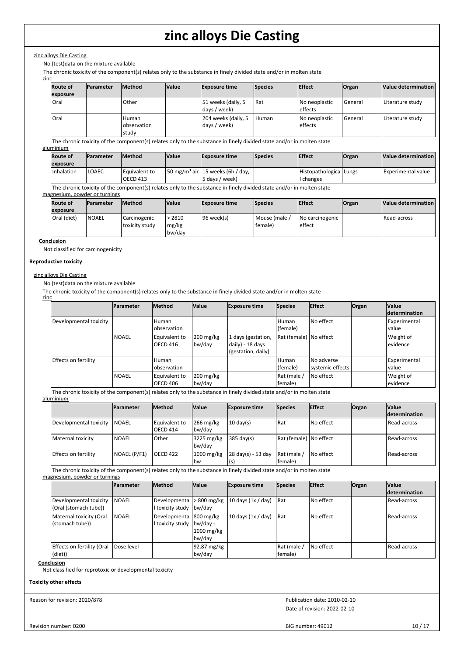#### zinc alloys Die Casting

No (test)data on the mixture available

The chronic toxicity of the component(s) relates only to the substance in finely divided state and/or in molten state

#### zinc

| <b>Route of</b><br>exposure | <b>Parameter</b> | <b>Method</b>                 | <b>Value</b> | <b>Exposure time</b>                | <b>Species</b> | <b>Effect</b>            | <b>Organ</b> | Value determination |
|-----------------------------|------------------|-------------------------------|--------------|-------------------------------------|----------------|--------------------------|--------------|---------------------|
| Oral                        |                  | Other                         |              | 51 weeks (daily, 5<br>days / week)  | l Rat          | No neoplastic<br>effects | General      | Literature study    |
| Oral                        |                  | Human<br>observation<br>study |              | 204 weeks (daily, 5<br>days / week) | l Human        | No neoplastic<br>effects | General      | Literature studv    |

The chronic toxicity of the component(s) relates only to the substance in finely divided state and/or in molten state

### aluminium

| <b>Route of</b><br>exposure | <b>IParameter</b> | <b>IMethod</b>                     | <b>Value</b> | <b>Exposure time</b>                                           | <b>Species</b> | <b>Effect</b>                     | Organ | Value determination  |
|-----------------------------|-------------------|------------------------------------|--------------|----------------------------------------------------------------|----------------|-----------------------------------|-------|----------------------|
| <b>Inhalation</b>           | LOAEC             | l Equivalent to<br><b>OECD 413</b> |              | $150 \text{ mg/m}^3$ air 15 weeks (6h / day,<br>5 days / week) |                | Histopathologica Lungs<br>changes |       | l Experimental value |

The chronic toxicity of the component(s) relates only to the substance in finely divided state and/or in molten state

#### magnesium, powder or turnings

| <b>Route of</b>  | <b>Parameter</b> | <b>Method</b>                  | <b>Value</b>              | <b>Exposure time</b> | <b>Species</b>            | <b>Effect</b>             | Organ | Value determination |  |
|------------------|------------------|--------------------------------|---------------------------|----------------------|---------------------------|---------------------------|-------|---------------------|--|
| <b>lexposure</b> |                  |                                |                           |                      |                           |                           |       |                     |  |
| Oral (diet)      | <b>NOAEL</b>     | Carcinogenic<br>toxicity study | > 2810<br>mg/kg<br>bw/day | 96 week(s)           | l Mouse (male<br> female) | No carcinogenic<br>effect |       | Read-across         |  |

#### **Conclusion**

Not classified for carcinogenicity

#### **Reproductive toxicity**

#### zinc alloys Die Casting

No (test)data on the mixture available

The chronic toxicity of the component(s) relates only to the substance in finely divided state and/or in molten state zinc

|                        | <b>IParameter</b> | <b>Method</b>                    | <b>Value</b>                                | <b>Exposure time</b>                                         | <b>Species</b>           | <b>Effect</b>                  | Organ | <b>Value</b><br><i>determination</i> |
|------------------------|-------------------|----------------------------------|---------------------------------------------|--------------------------------------------------------------|--------------------------|--------------------------------|-------|--------------------------------------|
| Developmental toxicity |                   | Human<br>observation             |                                             |                                                              | Human<br>(female)        | l No effect                    |       | <b>Experimental</b><br>l value       |
|                        | <b>NOAEL</b>      | Equivalent to<br><b>OECD 416</b> | $200 \frac{\text{mg}}{\text{kg}}$<br>bw/day | 1 days (gestation,<br>daily) - 18 days<br>(gestation, daily) | Rat (female)   No effect |                                |       | Weight of<br>evidence                |
| Effects on fertility   |                   | Human<br>observation             |                                             |                                                              | Human<br>(female)        | No adverse<br>systemic effects |       | <b>Experimental</b><br><b>value</b>  |
|                        | <b>NOAEL</b>      | Equivalent to<br><b>OECD 406</b> | $200 \text{ mg/kg}$<br>bw/day               |                                                              | Rat (male /<br>female)   | l No effect                    |       | Weight of<br>l evidence              |

The chronic toxicity of the component(s) relates only to the substance in finely divided state and/or in molten state aluminium

|                        | <b>Parameter</b> | <b>Method</b>                    | <b>Value</b>              | <b>Exposure time</b> | <b>Species</b>         | <b>Effect</b> | <b>Organ</b> | <b>Value</b>         |
|------------------------|------------------|----------------------------------|---------------------------|----------------------|------------------------|---------------|--------------|----------------------|
|                        |                  |                                  |                           |                      |                        |               |              | <b>determination</b> |
| Developmental toxicity | l NOAEL          | Equivalent to<br><b>OECD 414</b> | $266$ mg/kg<br>bw/day     | $10 \text{ day(s)}$  | Rat                    | l No effect.  |              | Read-across          |
| Maternal toxicity      | <b>NOAEL</b>     | Other                            | 3225 mg/kg<br>bw/day      | $385 \text{ day(s)}$ | Rat (female) No effect |               |              | l Read-across        |
| Effects on fertility   | NOAEL (P/F1)     | <b>OECD 422</b>                  | $1000$ mg/kg<br><b>bw</b> | 28 day(s) - 53 day   | Rat (male<br>female)   | l No effect   |              | Read-across          |

The chronic toxicity of the component(s) relates only to the substance in finely divided state and/or in molten state

magnesium, powder or turnings

|                                                 | <b>Parameter</b> | <b>Method</b>                              | <b>Value</b>                       | <b>Exposure time</b> | <b>Species</b>         | <b>Effect</b> | Organ | <b>Value</b><br><b>determination</b> |
|-------------------------------------------------|------------------|--------------------------------------------|------------------------------------|----------------------|------------------------|---------------|-------|--------------------------------------|
| Developmental toxicity<br>(Oral (stomach tube)) | <b>NOAEL</b>     | Developmenta<br>I toxicity study bw/day    | $>800$ mg/kg                       | 10 days $(1x / day)$ | <b>Rat</b>             | l No effect   |       | Read-across                          |
| Maternal toxicity (Oral<br>(stomach tube))      | <b>NOAEL</b>     | Developmenta 800 mg/kg<br>I toxicity study | bw/day -<br>$1000$ mg/kg<br>bw/day | 10 days $(1x / day)$ | <b>Rat</b>             | No effect     |       | Read-across                          |
| Effects on fertility (Oral<br>(diet))           | Dose level       |                                            | 92.87 mg/kg<br>bw/day              |                      | Rat (male /<br>female) | l No effect   |       | Read-across                          |

**Conclusion**

Not classified for reprotoxic or developmental toxicity

#### **Toxicity other effects**

Reason for revision: 2020/878

Date of revision: 2022-02-10 Publication date: 2010-02-10

Revision number: 0200

BIG number: 49012 10 / 17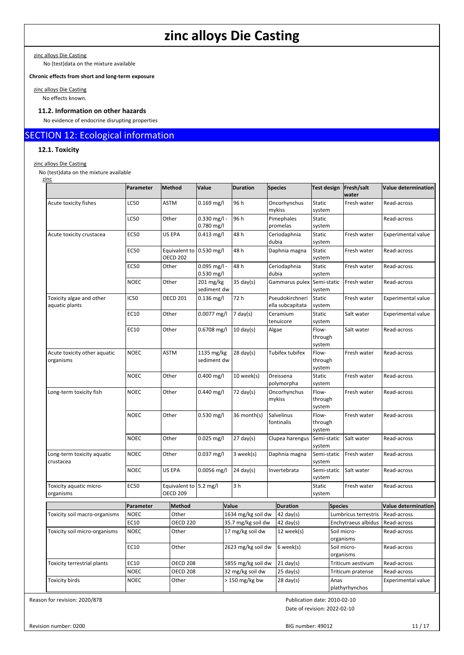zinc alloys Die Casting

No (test)data on the mixture available

**Chronic effects from short and long-term exposure**

zinc alloys Die Casting No effects known.

## **11.2. Information on other hazards**

No evidence of endocrine disrupting properties

# SECTION 12: Ecological information

### **12.1. Toxicity**

zinc alloys Die Casting

No (test)data on the mixture available

| zinc                                       | Parameter   | Method                                    | Value                          | <b>Duration</b>     | <b>Species</b>                      | Test design                | Fresh/salt<br>water      | <b>Value determination</b> |
|--------------------------------------------|-------------|-------------------------------------------|--------------------------------|---------------------|-------------------------------------|----------------------------|--------------------------|----------------------------|
| Acute toxicity fishes                      | <b>LC50</b> | <b>ASTM</b>                               | $0.169$ mg/l                   | 96 h                | Oncorhynchus<br>mykiss              | Static<br>system           | Fresh water              | Read-across                |
|                                            | LC50        | Other                                     | $0.330$ mg/l -<br>0.780 mg/l   | 96 h                | Pimephales<br>promelas              | Static<br>system           |                          | Read-across                |
| Acute toxicity crustacea                   | <b>EC50</b> | US EPA                                    | $0.413$ mg/l                   | 48 h                | Ceriodaphnia<br>dubia               | Static<br>system           | Fresh water              | Experimental value         |
|                                            | <b>EC50</b> | Equivalent to<br><b>OECD 202</b>          | $0.530$ mg/l                   | 48 h                | Daphnia magna                       | Static<br>system           | Fresh water              | Read-across                |
|                                            | <b>EC50</b> | Other                                     | $0.095$ mg/l -<br>$0.530$ mg/l | 48 h                | Ceriodaphnia<br>dubia               | Static<br>system           | Fresh water              | Read-across                |
|                                            | <b>NOEC</b> | Other                                     | $201$ mg/kg<br>sediment dw     | $35$ day(s)         | Gammarus pulex Semi-static          | system                     | Fresh water              | Read-across                |
| Toxicity algae and other<br>aquatic plants | IC50        | <b>OECD 201</b>                           | $0.136$ mg/l                   | 72 h                | Pseudokirchneri<br>ella subcapitata | Static<br>system           | Fresh water              | <b>Experimental value</b>  |
|                                            | EC10        | Other                                     | $0.0077$ mg/l                  | 7 day(s)            | Ceramium<br>tenuicore               | Static<br>system           | Salt water               | <b>Experimental value</b>  |
|                                            | EC10        | Other                                     | 0.6708 mg/l                    | $10 \text{ day}(s)$ | Algae                               | Flow-<br>through<br>system | Salt water               | Read-across                |
| Acute toxicity other aquatic<br>organisms  | <b>NOEC</b> | ASTM                                      | 1135 mg/kg<br>sediment dw      | $28 \text{ day}(s)$ | Tubifex tubifex                     | Flow-<br>through<br>system | Fresh water              | Read-across                |
|                                            | <b>NOEC</b> | Other                                     | $0.400$ mg/l                   | 10 week(s)          | Dreissena<br>polymorpha             | Static<br>system           | Fresh water              | Read-across                |
| Long-term toxicity fish                    | <b>NOEC</b> | Other                                     | $0.440$ mg/l                   | $72 \text{ day}(s)$ | Oncorhynchus<br>mykiss              | Flow-<br>through<br>system | Fresh water              | Read-across                |
|                                            | <b>NOEC</b> | Other                                     | 0.530 mg/l                     | 36 month(s)         | Salvelinus<br>fontinalis            | Flow-<br>through<br>system | Fresh water              | Read-across                |
|                                            | <b>NOEC</b> | Other                                     | $0.025$ mg/l                   | $27 \text{ day}(s)$ | Clupea harengus                     | Semi-static<br>system      | Salt water               | Read-across                |
| Long-term toxicity aquatic<br>crustacea    | <b>NOEC</b> | Other                                     | $0.037$ mg/l                   | 3 week(s)           | Daphnia magna                       | Semi-static<br>system      | Fresh water              | Read-across                |
|                                            | <b>NOEC</b> | US EPA                                    | $0.0056$ mg/l                  | $24 \text{ day}(s)$ | Invertebrata                        | Semi-static<br>system      | Salt water               | Read-across                |
| Toxicity aquatic micro-<br>organisms       | <b>EC50</b> | Equivalent to 5.2 mg/l<br><b>OECD 209</b> |                                | 3 <sub>h</sub>      |                                     | Static<br>system           | Fresh water              | Read-across                |
|                                            | Parameter   | <b>Method</b>                             |                                | Value               | <b>Duration</b>                     |                            | <b>Species</b>           | <b>Value determination</b> |
| Toxicity soil macro-organisms              | <b>NOEC</b> | Other                                     |                                | 1634 mg/kg soil dw  | $42 \text{ day}(s)$                 |                            | Lumbricus terrestris     | Read-across                |
|                                            | EC10        | <b>OECD 220</b>                           |                                | 35.7 mg/kg soil dw  | $42 \text{ day}(s)$                 |                            | Enchytraeus albidus      | Read-across                |
| Toxicity soil micro-organisms              | <b>NOEC</b> | Other                                     |                                | 17 mg/kg soil dw    | 12 week(s)                          |                            | Soil micro-<br>organisms | Read-across                |
|                                            | EC10        | Other                                     |                                | 2623 mg/kg soil dw  | 6 week(s)                           |                            | Soil micro-<br>organisms | Read-across                |
| Toxicity terrestrial plants                | EC10        | OECD 208                                  |                                | 5855 mg/kg soil dw  | $21$ day(s)                         |                            | Triticum aestivum        | Read-across                |
|                                            | <b>NOEC</b> | <b>OECD 208</b>                           |                                | 32 mg/kg soil dw    | $25 \text{ day}(s)$                 |                            | Triticum pratense        | Read-across                |
| Toxicity birds                             | <b>NOEC</b> | Other                                     |                                | $> 150$ mg/kg bw    | $28 \text{ day}(s)$                 |                            | Anas<br>plathyrhynchos   | <b>Experimental value</b>  |

Reason for revision: 2020/878

Publication date: 2010-02-10

Date of revision: 2022-02-10

Revision number: 0200

BIG number: 49012 11 / 17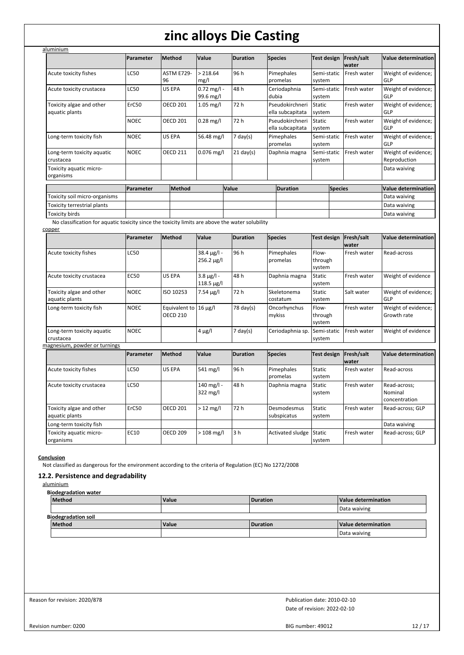|                                            | <b>Parameter</b> | <b>Method</b>           | Value                      | <b>Duration</b>     | <b>Species</b>                      | Test design             | Fresh/salt<br>water | Value determination                 |
|--------------------------------------------|------------------|-------------------------|----------------------------|---------------------|-------------------------------------|-------------------------|---------------------|-------------------------------------|
| Acute toxicity fishes                      | LC50             | <b>ASTM E729-</b><br>96 | > 218.64<br>mg/l           | 96 h                | Pimephales<br>promelas              | Semi-static<br>system   | Fresh water         | Weight of evidence;<br>GLP          |
| Acute toxicity crustacea                   | LC50             | US EPA                  | $0.72$ mg/l -<br>99.6 mg/l | 48 h                | Ceriodaphnia<br>dubia               | Semi-static<br>system   | Fresh water         | Weight of evidence;<br>GLP          |
| Toxicity algae and other<br>aquatic plants | ErC50            | <b>OECD 201</b>         | $1.05$ mg/l                | 72 h                | Pseudokirchneri<br>ella subcapitata | Static<br>system        | Fresh water         | Weight of evidence;<br>GLP          |
|                                            | <b>NOEC</b>      | <b>OECD 201</b>         | $0.28$ mg/l                | 72 h                | Pseudokirchneri<br>ella subcapitata | <b>Static</b><br>system | Fresh water         | Weight of evidence;<br>GLP          |
| Long-term toxicity fish                    | <b>NOEC</b>      | US EPA                  | 56.48 mg/l                 | $7 \text{ day}(s)$  | Pimephales<br>promelas              | Semi-static<br>system   | Fresh water         | Weight of evidence;<br>GLP          |
| Long-term toxicity aquatic<br>crustacea    | <b>NOEC</b>      | <b>OECD 211</b>         | $0.076$ mg/l               | $21 \text{ day}(s)$ | Daphnia magna                       | Semi-static<br>system   | Fresh water         | Weight of evidence;<br>Reproduction |
| Toxicity aquatic micro-<br>organisms       |                  |                         |                            |                     |                                     |                         |                     | Data waiving                        |
|                                            | <b>Parameter</b> | <b>Method</b>           |                            | Value               | <b>Duration</b>                     | <b>Species</b>          |                     | Value determination                 |
| Toxicity soil micro-organisms              |                  |                         |                            |                     |                                     |                         |                     | Data waiving                        |
| Toxicity terrestrial plants                |                  |                         |                            |                     |                                     |                         |                     | Data waiving                        |
| Toxicity birds                             |                  |                         |                            |                     |                                     |                         |                     | Data waiving                        |

copper

|                                            | Parameter        | <b>Method</b>                                 | Value                                   | <b>Duration</b> | <b>Species</b>             | Test design                | Fresh/salt<br>lwater | Value determination                      |
|--------------------------------------------|------------------|-----------------------------------------------|-----------------------------------------|-----------------|----------------------------|----------------------------|----------------------|------------------------------------------|
| Acute toxicity fishes                      | <b>LC50</b>      |                                               | $38.4 \,\mu g/l -$<br>$256.2 \,\mu g/l$ | 96 h            | Pimephales<br>promelas     | Flow-<br>through<br>system | Fresh water          | Read-across                              |
| Acute toxicity crustacea                   | <b>EC50</b>      | US EPA                                        | $3.8 \mu g/l -$<br>$118.5 \,\mu g/l$    | 48h             | Daphnia magna              | <b>Static</b><br>system    | Fresh water          | Weight of evidence                       |
| Toxicity algae and other<br>aquatic plants | <b>NOEC</b>      | ISO 10253                                     | $7.54 \mu g/l$                          | 72 h            | Skeletonema<br>costatum    | <b>Static</b><br>system    | Salt water           | Weight of evidence;<br>GLP               |
| Long-term toxicity fish                    | <b>NOEC</b>      | Equivalent to $16 \mu g/l$<br><b>OECD 210</b> |                                         | 78 day(s)       | Oncorhynchus<br>mykiss     | Flow-<br>through<br>system | Fresh water          | Weight of evidence;<br>Growth rate       |
| Long-term toxicity aquatic<br>crustacea    | <b>NOEC</b>      |                                               | 4 μg/l                                  | $7$ day(s)      | Ceriodaphnia sp.           | Semi-static<br>system      | Fresh water          | Weight of evidence                       |
| magnesium, powder or turnings              |                  |                                               |                                         |                 |                            |                            |                      |                                          |
|                                            | <b>Parameter</b> | Method                                        | Value                                   | <b>Duration</b> | <b>Species</b>             | Test design                | Fresh/salt<br>lwater | Value determination                      |
| Acute toxicity fishes                      | <b>LC50</b>      | US EPA                                        | 541 mg/l                                | 96h             | Pimephales<br>promelas     | Static<br>system           | Fresh water          | Read-across                              |
| Acute toxicity crustacea                   | <b>LC50</b>      |                                               | 140 mg/l -<br>322 mg/l                  | 48h             | Daphnia magna              | <b>Static</b><br>system    | Fresh water          | Read-across:<br>Nominal<br>concentration |
| Toxicity algae and other<br>aquatic plants | ErC50            | <b>OECD 201</b>                               | $>12$ mg/l                              | 72 h            | Desmodesmus<br>subspicatus | Static<br>system           | Fresh water          | Read-across; GLP                         |
| Long-term toxicity fish                    |                  |                                               |                                         |                 |                            |                            |                      | Data waiving                             |
| Toxicity aquatic micro-<br>organisms       | EC10             | <b>OECD 209</b>                               | $>108$ mg/l                             | 3 <sub>h</sub>  | Activated sludge           | Static<br>system           | Fresh water          | Read-across; GLP                         |

**Conclusion**

Not classified as dangerous for the environment according to the criteria of Regulation (EC) No 1272/2008

### **12.2. Persistence and degradability**

aluminium

**Biodegradation water**

| Method                     | Value        | Duration | Value determination |
|----------------------------|--------------|----------|---------------------|
|                            |              |          | Data waiving        |
| <b>Biodegradation soil</b> |              |          |                     |
| Method                     | <b>Value</b> | Duration | Value determination |
|                            |              |          | Data waiving        |

Reason for revision: 2020/878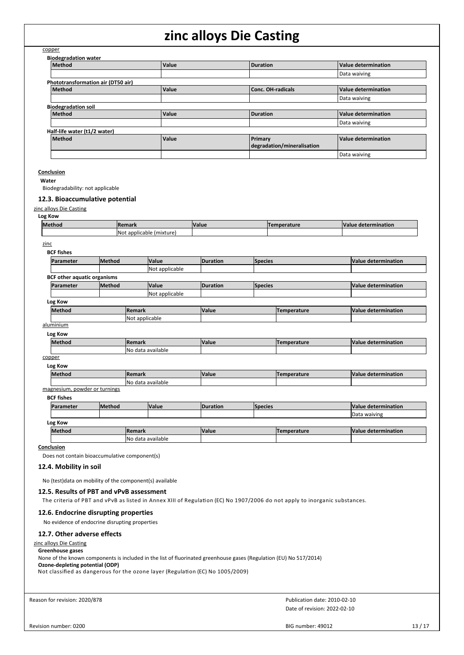| copper                                                                                                                                                                                                                                                                                                                                                   |               |                          |                                                                                                                    |                 |                                                                                                                            |                            |
|----------------------------------------------------------------------------------------------------------------------------------------------------------------------------------------------------------------------------------------------------------------------------------------------------------------------------------------------------------|---------------|--------------------------|--------------------------------------------------------------------------------------------------------------------|-----------------|----------------------------------------------------------------------------------------------------------------------------|----------------------------|
| <b>Biodegradation water</b>                                                                                                                                                                                                                                                                                                                              |               |                          |                                                                                                                    |                 |                                                                                                                            |                            |
| <b>Method</b>                                                                                                                                                                                                                                                                                                                                            |               | Value                    |                                                                                                                    | <b>Duration</b> |                                                                                                                            | <b>Value determination</b> |
|                                                                                                                                                                                                                                                                                                                                                          |               |                          |                                                                                                                    |                 |                                                                                                                            | Data waiving               |
| Phototransformation air (DT50 air)<br>Method                                                                                                                                                                                                                                                                                                             |               | Value                    |                                                                                                                    |                 | <b>Conc. OH-radicals</b>                                                                                                   | <b>Value determination</b> |
|                                                                                                                                                                                                                                                                                                                                                          |               |                          |                                                                                                                    |                 |                                                                                                                            | Data waiving               |
| <b>Biodegradation soil</b>                                                                                                                                                                                                                                                                                                                               |               |                          |                                                                                                                    |                 |                                                                                                                            |                            |
| <b>Method</b>                                                                                                                                                                                                                                                                                                                                            |               | Value                    |                                                                                                                    | <b>Duration</b> |                                                                                                                            | <b>Value determination</b> |
|                                                                                                                                                                                                                                                                                                                                                          |               |                          |                                                                                                                    |                 |                                                                                                                            | Data waiving               |
| Half-life water (t1/2 water)                                                                                                                                                                                                                                                                                                                             |               |                          |                                                                                                                    |                 |                                                                                                                            |                            |
| Method                                                                                                                                                                                                                                                                                                                                                   |               | Value                    |                                                                                                                    | Primary         | degradation/mineralisation                                                                                                 | <b>Value determination</b> |
|                                                                                                                                                                                                                                                                                                                                                          |               |                          |                                                                                                                    |                 |                                                                                                                            | Data waiving               |
| Conclusion<br>Water<br>Biodegradability: not applicable<br>12.3. Bioaccumulative potential<br>zinc alloys Die Casting                                                                                                                                                                                                                                    |               |                          |                                                                                                                    |                 |                                                                                                                            |                            |
| Log Kow<br>Method                                                                                                                                                                                                                                                                                                                                        | Remark        |                          | Value                                                                                                              |                 | <b>Temperature</b>                                                                                                         | <b>Value determination</b> |
|                                                                                                                                                                                                                                                                                                                                                          |               | Not applicable (mixture) |                                                                                                                    |                 |                                                                                                                            |                            |
| zinc<br><b>BCF fishes</b><br>Parameter                                                                                                                                                                                                                                                                                                                   | Method        | Value<br>Not applicable  | <b>Duration</b>                                                                                                    | <b>Species</b>  |                                                                                                                            | <b>Value determination</b> |
| <b>BCF</b> other aquatic organisms                                                                                                                                                                                                                                                                                                                       |               |                          |                                                                                                                    |                 |                                                                                                                            |                            |
| Parameter                                                                                                                                                                                                                                                                                                                                                | Method        | Value<br>Not applicable  | <b>Duration</b>                                                                                                    | <b>Species</b>  |                                                                                                                            | Value determination        |
| Log Kow                                                                                                                                                                                                                                                                                                                                                  |               |                          |                                                                                                                    |                 |                                                                                                                            |                            |
| Method                                                                                                                                                                                                                                                                                                                                                   | <b>Remark</b> |                          | Value                                                                                                              |                 | <b>Temperature</b>                                                                                                         | <b>Value determination</b> |
|                                                                                                                                                                                                                                                                                                                                                          |               | Not applicable           |                                                                                                                    |                 |                                                                                                                            |                            |
| aluminium                                                                                                                                                                                                                                                                                                                                                |               |                          |                                                                                                                    |                 |                                                                                                                            |                            |
| Log Kow                                                                                                                                                                                                                                                                                                                                                  |               |                          |                                                                                                                    |                 |                                                                                                                            |                            |
| Method                                                                                                                                                                                                                                                                                                                                                   | Remark        | No data available        | Value                                                                                                              |                 | <b>Temperature</b>                                                                                                         | <b>Value determination</b> |
| copper                                                                                                                                                                                                                                                                                                                                                   |               |                          |                                                                                                                    |                 |                                                                                                                            |                            |
| Log Kow                                                                                                                                                                                                                                                                                                                                                  |               |                          |                                                                                                                    |                 |                                                                                                                            |                            |
| Method                                                                                                                                                                                                                                                                                                                                                   | Remark        |                          | Value                                                                                                              |                 | Temperature                                                                                                                | <b>Value determination</b> |
| magnesium, powder or turnings                                                                                                                                                                                                                                                                                                                            |               | No data available        |                                                                                                                    |                 |                                                                                                                            |                            |
| <b>BCF fishes</b>                                                                                                                                                                                                                                                                                                                                        |               |                          |                                                                                                                    |                 |                                                                                                                            |                            |
| Parameter                                                                                                                                                                                                                                                                                                                                                | Method        | Value                    | <b>Duration</b>                                                                                                    | <b>Species</b>  |                                                                                                                            | <b>Value determination</b> |
|                                                                                                                                                                                                                                                                                                                                                          |               |                          |                                                                                                                    |                 |                                                                                                                            | Data waiving               |
| Log Kow                                                                                                                                                                                                                                                                                                                                                  |               |                          |                                                                                                                    |                 |                                                                                                                            |                            |
| Method                                                                                                                                                                                                                                                                                                                                                   | Remark        |                          | Value                                                                                                              |                 | <b>Temperature</b>                                                                                                         | <b>Value determination</b> |
| Conclusion                                                                                                                                                                                                                                                                                                                                               |               | No data available        |                                                                                                                    |                 |                                                                                                                            |                            |
| Does not contain bioaccumulative component(s)<br>12.4. Mobility in soil<br>No (test) data on mobility of the component(s) available<br>12.5. Results of PBT and vPvB assessment<br>12.6. Endocrine disrupting properties<br>No evidence of endocrine disrupting properties<br>12.7. Other adverse effects<br>zinc alloys Die Casting<br>Greenhouse gases |               |                          | None of the known components is included in the list of fluorinated greenhouse gases (Regulation (EU) No 517/2014) |                 | The criteria of PBT and vPvB as listed in Annex XIII of Regulation (EC) No 1907/2006 do not apply to inorganic substances. |                            |
| Ozone-depleting potential (ODP)                                                                                                                                                                                                                                                                                                                          |               |                          | Not classified as dangerous for the ozone layer (Regulation (EC) No 1005/2009)                                     |                 |                                                                                                                            |                            |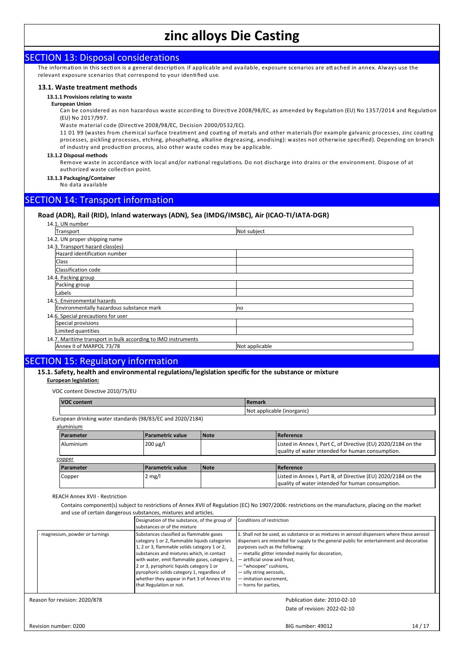## SECTION 13: Disposal considerations

The information in this section is a general description. If applicable and available, exposure scenarios are attached in annex. Always use the relevant exposure scenarios that correspond to your identified use.

#### **13.1. Waste treatment methods**

#### **13.1.1 Provisions relating to waste**

**European Union**

Can be considered as non hazardous waste according to Directive 2008/98/EC, as amended by Regulation (EU) No 1357/2014 and Regulation (EU) No 2017/997.

Waste material code (Directive 2008/98/EC, Decision 2000/0532/EC).

11 01 99 (wastes from chemical surface treatment and coating of metals and other materials (for example galvanic processes, zinc coating processes, pickling processes, etching, phosphating, alkaline degreasing, anodising): wastes not otherwise specified). Depending on branch of industry and production process, also other waste codes may be applicable.

#### **13.1.2 Disposal methods**

Remove waste in accordance with local and/or national regulations. Do not discharge into drains or the environment. Dispose of at authorized waste collection point.

**13.1.3 Packaging/Container**

No data available

# SECTION 14: Transport information

### **Road (ADR), Rail (RID), Inland waterways (ADN), Sea (IMDG/IMSBC), Air (ICAO-TI/IATA-DGR)**

| 14.1. UN number                                               |                |
|---------------------------------------------------------------|----------------|
| Transport                                                     | Not subject    |
| 14.2. UN proper shipping name                                 |                |
| 14.3. Transport hazard class(es)                              |                |
| Hazard identification number                                  |                |
| <b>Class</b>                                                  |                |
| Classification code                                           |                |
| 14.4. Packing group                                           |                |
| Packing group                                                 |                |
| Labels                                                        |                |
| 14.5. Environmental hazards                                   |                |
| Environmentally hazardous substance mark                      | no             |
| 14.6. Special precautions for user                            |                |
| Special provisions                                            |                |
| Limited quantities                                            |                |
| 14.7. Maritime transport in bulk according to IMO instruments |                |
| Annex II of MARPOL 73/78                                      | Not applicable |

## SECTION 15: Regulatory information

### **15.1. Safety, health and environmental regulations/legislation specific for the substance or mixture**

#### **European legislation:**

VOC content Directive 2010/75/EU

| <b>VOC content</b>                                         |                         |             | Remark                     |                                                                                                                   |  |
|------------------------------------------------------------|-------------------------|-------------|----------------------------|-------------------------------------------------------------------------------------------------------------------|--|
|                                                            |                         |             | Not applicable (inorganic) |                                                                                                                   |  |
| European drinking water standards (98/83/EC and 2020/2184) |                         |             |                            |                                                                                                                   |  |
| aluminium                                                  |                         |             |                            |                                                                                                                   |  |
| Parameter                                                  | <b>Parametric value</b> | <b>Note</b> |                            | Reference                                                                                                         |  |
| Aluminium                                                  | $200 \mu g/l$           |             |                            | Listed in Annex I, Part C, of Directive (EU) 2020/2184 on the<br>quality of water intended for human consumption. |  |
| copper                                                     |                         |             |                            |                                                                                                                   |  |
| Parameter                                                  | <b>Parametric value</b> | <b>Note</b> |                            | <b>Reference</b>                                                                                                  |  |
| Copper                                                     | $2 \text{ mg/l}$        |             |                            | Listed in Annex I, Part B, of Directive (EU) 2020/2184 on the                                                     |  |

REACH Annex XVII - Restriction

Contains component(s) subject to restrictions of Annex XVII of Regulation (EC) No 1907/2006: restrictions on the manufacture, placing on the market and use of certain dangerous substances, mixtures and articles.

|                               | Designation of the substance, of the group of<br>substances or of the mixture                                                                                                                                                                                                                                                                                                                                 | Conditions of restriction                                                                                                                                                                                                                                                                                                                                                                                                |
|-------------------------------|---------------------------------------------------------------------------------------------------------------------------------------------------------------------------------------------------------------------------------------------------------------------------------------------------------------------------------------------------------------------------------------------------------------|--------------------------------------------------------------------------------------------------------------------------------------------------------------------------------------------------------------------------------------------------------------------------------------------------------------------------------------------------------------------------------------------------------------------------|
| magnesium, powder or turnings | Substances classified as flammable gases<br>category 1 or 2, flammable liquids categories<br>1, 2 or 3, flammable solids category 1 or 2,<br>substances and mixtures which, in contact<br>with water, emit flammable gases, category 1,<br>2 or 3, pyrophoric liquids category 1 or<br>pyrophoric solids category 1, regardless of<br>whether they appear in Part 3 of Annex VI to<br>that Regulation or not. | 1. Shall not be used, as substance or as mixtures in aerosol dispensers where these aerosol<br>dispensers are intended for supply to the general public for entertainment and decorative<br>purposes such as the following:<br>- metallic glitter intended mainly for decoration,<br>- artificial snow and frost,<br>- "whoopee" cushions,<br>- silly string aerosols,<br>- imitation excrement,<br>- horns for parties, |

Reason for revision: 2020/878

Date of revision: 2022-02-10 Publication date: 2010-02-10

 $\overline{a}$  quality of water intended for human consumption.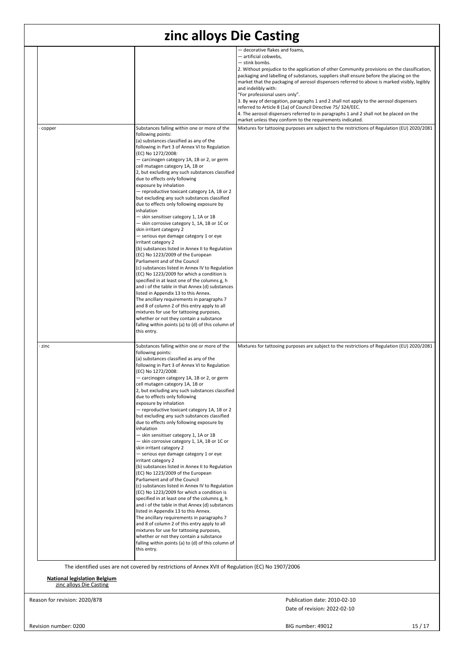|        |                                                                                                                                                                                                                                                                                                                                                                                                                                                                                                                                                                                                                                                                                                                                                                                                                                                                                                                                                                                                                                                                                                                                                                                                                                                                                                                                                                      | - decorative flakes and foams,                                                                                                                                                                                                                                                                                                                                                                                                                                                                                                                                                                                                                |
|--------|----------------------------------------------------------------------------------------------------------------------------------------------------------------------------------------------------------------------------------------------------------------------------------------------------------------------------------------------------------------------------------------------------------------------------------------------------------------------------------------------------------------------------------------------------------------------------------------------------------------------------------------------------------------------------------------------------------------------------------------------------------------------------------------------------------------------------------------------------------------------------------------------------------------------------------------------------------------------------------------------------------------------------------------------------------------------------------------------------------------------------------------------------------------------------------------------------------------------------------------------------------------------------------------------------------------------------------------------------------------------|-----------------------------------------------------------------------------------------------------------------------------------------------------------------------------------------------------------------------------------------------------------------------------------------------------------------------------------------------------------------------------------------------------------------------------------------------------------------------------------------------------------------------------------------------------------------------------------------------------------------------------------------------|
|        |                                                                                                                                                                                                                                                                                                                                                                                                                                                                                                                                                                                                                                                                                                                                                                                                                                                                                                                                                                                                                                                                                                                                                                                                                                                                                                                                                                      | - artificial cobwebs,<br>- stink bombs.<br>2. Without prejudice to the application of other Community provisions on the classification,<br>packaging and labelling of substances, suppliers shall ensure before the placing on the<br>market that the packaging of aerosol dispensers referred to above is marked visibly, legibly<br>and indelibly with:<br>"For professional users only".<br>3. By way of derogation, paragraphs 1 and 2 shall not apply to the aerosol dispensers<br>referred to Article 8 (1a) of Council Directive 75/324/EEC.<br>4. The aerosol dispensers referred to in paragraphs 1 and 2 shall not be placed on the |
|        |                                                                                                                                                                                                                                                                                                                                                                                                                                                                                                                                                                                                                                                                                                                                                                                                                                                                                                                                                                                                                                                                                                                                                                                                                                                                                                                                                                      | market unless they conform to the requirements indicated.<br>Mixtures for tattooing purposes are subject to the restrictions of Regulation (EU) 2020/2081                                                                                                                                                                                                                                                                                                                                                                                                                                                                                     |
| copper | Substances falling within one or more of the<br>following points:<br>(a) substances classified as any of the<br>following in Part 3 of Annex VI to Regulation<br>(EC) No 1272/2008:<br>- carcinogen category 1A, 1B or 2, or germ<br>cell mutagen category 1A, 1B or<br>2, but excluding any such substances classified<br>due to effects only following<br>exposure by inhalation<br>- reproductive toxicant category 1A, 1B or 2<br>but excluding any such substances classified<br>due to effects only following exposure by<br>inhalation<br>- skin sensitiser category 1, 1A or 1B<br>- skin corrosive category 1, 1A, 1B or 1C or<br>skin irritant category 2<br>- serious eye damage category 1 or eye<br>irritant category 2<br>(b) substances listed in Annex II to Regulation<br>(EC) No 1223/2009 of the European<br>Parliament and of the Council<br>(c) substances listed in Annex IV to Regulation<br>(EC) No 1223/2009 for which a condition is<br>specified in at least one of the columns g, h<br>and i of the table in that Annex (d) substances<br>listed in Appendix 13 to this Annex.<br>The ancillary requirements in paragraphs 7<br>and 8 of column 2 of this entry apply to all<br>mixtures for use for tattooing purposes,<br>whether or not they contain a substance<br>falling within points (a) to (d) of this column of<br>this entry. |                                                                                                                                                                                                                                                                                                                                                                                                                                                                                                                                                                                                                                               |
| zinc   | Substances falling within one or more of the<br>following points:<br>(a) substances classified as any of the<br>following in Part 3 of Annex VI to Regulation<br>(EC) No 1272/2008:<br>- carcinogen category 1A, 1B or 2, or germ<br>cell mutagen category 1A, 1B or<br>2, but excluding any such substances classified<br>due to effects only following<br>exposure by inhalation<br>- reproductive toxicant category 1A, 1B or 2<br>but excluding any such substances classified<br>due to effects only following exposure by<br>inhalation<br>- skin sensitiser category 1, 1A or 1B<br>- skin corrosive category 1, 1A, 1B or 1C or<br>skin irritant category 2<br>- serious eye damage category 1 or eye<br>irritant category 2<br>(b) substances listed in Annex II to Regulation<br>(EC) No 1223/2009 of the European<br>Parliament and of the Council<br>(c) substances listed in Annex IV to Regulation<br>(EC) No 1223/2009 for which a condition is<br>specified in at least one of the columns g, h<br>and i of the table in that Annex (d) substances<br>listed in Appendix 13 to this Annex.<br>The ancillary requirements in paragraphs 7<br>and 8 of column 2 of this entry apply to all<br>mixtures for use for tattooing purposes,<br>whether or not they contain a substance<br>falling within points (a) to (d) of this column of<br>this entry. | Mixtures for tattooing purposes are subject to the restrictions of Regulation (EU) 2020/2081                                                                                                                                                                                                                                                                                                                                                                                                                                                                                                                                                  |

**National legislation Belgium** zinc alloys Die Casting

Reason for revision: 2020/878

Date of revision: 2022-02-10 Publication date: 2010-02-10

BIG number: 49012 15 / 17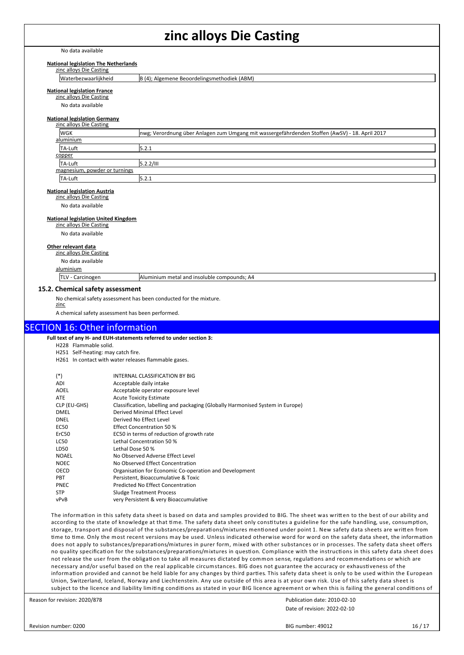No data available

#### **National legislation The Netherlands**

zinc alloys Die Casting

Waterbezwaarlijkheid B (4); Algemene Beoordelingsmethodiek (ABM)

#### **National legislation France**

zinc alloys Die Casting

No data available

# **National legislation Germany** zinc alloys Die Casting

|        | <b>Enterno your caseing</b>   |                                                                                                 |  |
|--------|-------------------------------|-------------------------------------------------------------------------------------------------|--|
|        | WGK                           | Inwg; Verordnung über Anlagen zum Umgang mit wassergefährdenden Stoffen (AwSV) - 18. April 2017 |  |
|        | aluminium                     |                                                                                                 |  |
|        | TA-Luft                       | 5.2.1                                                                                           |  |
| copper |                               |                                                                                                 |  |
|        | TA-Luft                       | 5.2.2/III                                                                                       |  |
|        | magnesium, powder or turnings |                                                                                                 |  |
|        | TA-Luft                       | 5.2.1                                                                                           |  |
|        |                               |                                                                                                 |  |

#### **National legislation Austria**

zinc alloys Die Casting

No data available

#### **National legislation United Kingdom**

zinc alloys Die Casting

No data available

#### **Other relevant data**

zinc alloys Die Casting No data available aluminium

TLV - Carcinogen Aluminium metal and insoluble compounds; A4

#### **15.2. Chemical safety assessment**

No chemical safety assessment has been conducted for the mixture.

zinc

A chemical safety assessment has been performed.

### SECTION 16: Other information

**Full text of any H- and EUH-statements referred to under section 3:** H228 Flammable solid.

H251 Self-heating: may catch fire.

H261 In contact with water releases flammable gases.

| $(*)$        | INTERNAL CLASSIFICATION BY BIG                                                 |
|--------------|--------------------------------------------------------------------------------|
| ADI          | Acceptable daily intake                                                        |
| <b>AOEL</b>  | Acceptable operator exposure level                                             |
| <b>ATE</b>   | <b>Acute Toxicity Estimate</b>                                                 |
| CLP (EU-GHS) | Classification, labelling and packaging (Globally Harmonised System in Europe) |
| DMEL         | Derived Minimal Effect Level                                                   |
| DNEL         | Derived No Effect Level                                                        |
| EC50         | Effect Concentration 50 %                                                      |
| ErC50        | EC50 in terms of reduction of growth rate                                      |
| <b>LC50</b>  | Lethal Concentration 50 %                                                      |
| LD50         | Lethal Dose 50 %                                                               |
| <b>NOAEL</b> | No Observed Adverse Effect Level                                               |
| <b>NOEC</b>  | No Observed Effect Concentration                                               |
| OECD         | Organisation for Economic Co-operation and Development                         |
| <b>PBT</b>   | Persistent. Bioaccumulative & Toxic                                            |
| <b>PNEC</b>  | <b>Predicted No Effect Concentration</b>                                       |
| <b>STP</b>   | <b>Sludge Treatment Process</b>                                                |
| vPvB         | very Persistent & very Bioaccumulative                                         |

The information in this safety data sheet is based on data and samples provided to BIG. The sheet was written to the best of our ability and according to the state of knowledge at that time. The safety data sheet only constitutes a guideline for the safe handling, use, consumption, storage, transport and disposal of the substances/preparations/mixtures mentioned under point 1. New safety data sheets are written from time to time. Only the most recent versions may be used. Unless indicated otherwise word for word on the safety data sheet, the information does not apply to substances/preparations/mixtures in purer form, mixed with other substances or in processes. The safety data sheet offers no quality specification for the substances/preparations/mixtures in question. Compliance with the instructions in this safety data sheet does not release the user from the obligation to take all measures dictated by common sense, regulations and recommendations or which are necessary and/or useful based on the real applicable circumstances. BIG does not guarantee the accuracy or exhaustiveness of the information provided and cannot be held liable for any changes by third parties. This safety data sheet is only to be used within the European Union, Switzerland, Iceland, Norway and Liechtenstein. Any use outside of this area is at your own risk. Use of this safety data sheet is subject to the licence and liability limiting conditions as stated in your BIG licence agreement or when this is failing the general conditions of

Reason for revision: 2020/878

Date of revision: 2022-02-10 Publication date: 2010-02-10

Revision number: 0200